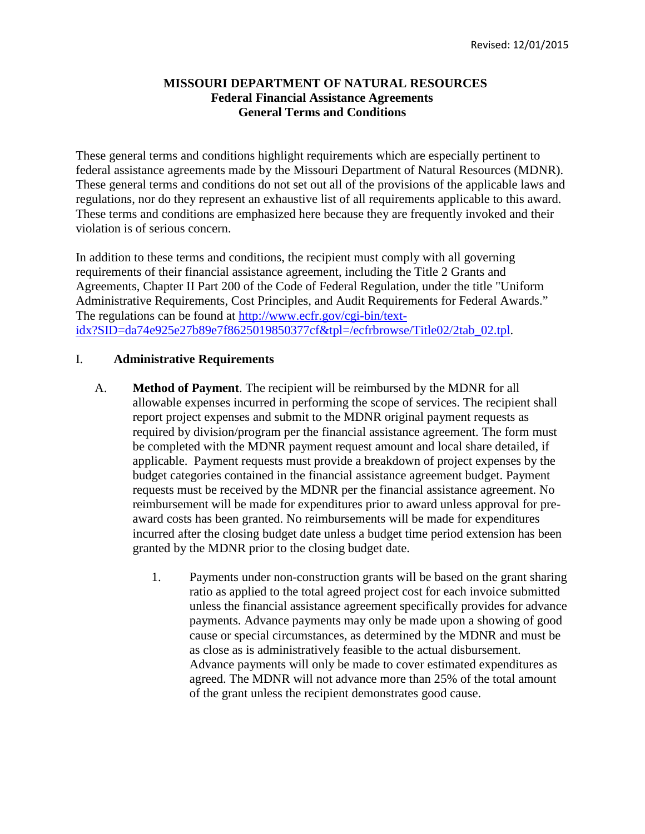## **MISSOURI DEPARTMENT OF NATURAL RESOURCES Federal Financial Assistance Agreements General Terms and Conditions**

These general terms and conditions highlight requirements which are especially pertinent to federal assistance agreements made by the Missouri Department of Natural Resources (MDNR). These general terms and conditions do not set out all of the provisions of the applicable laws and regulations, nor do they represent an exhaustive list of all requirements applicable to this award. These terms and conditions are emphasized here because they are frequently invoked and their violation is of serious concern.

In addition to these terms and conditions, the recipient must comply with all governing requirements of their financial assistance agreement, including the Title 2 Grants and Agreements, Chapter II Part 200 of the Code of Federal Regulation, under the title "Uniform Administrative Requirements, Cost Principles, and Audit Requirements for Federal Awards." The regulations can be found at http://www.ecfr.gov/cgi-bin/textidx?SID=da74e925e27b89e7f8625019850377cf&tpl=/ecfrbrowse/Title02/2tab\_02.tpl.

## I. **Administrative Requirements**

- A. **Method of Payment**. The recipient will be reimbursed by the MDNR for all allowable expenses incurred in performing the scope of services. The recipient shall report project expenses and submit to the MDNR original payment requests as required by division/program per the financial assistance agreement. The form must be completed with the MDNR payment request amount and local share detailed, if applicable. Payment requests must provide a breakdown of project expenses by the budget categories contained in the financial assistance agreement budget. Payment requests must be received by the MDNR per the financial assistance agreement. No reimbursement will be made for expenditures prior to award unless approval for preaward costs has been granted. No reimbursements will be made for expenditures incurred after the closing budget date unless a budget time period extension has been granted by the MDNR prior to the closing budget date.
	- 1. Payments under non-construction grants will be based on the grant sharing ratio as applied to the total agreed project cost for each invoice submitted unless the financial assistance agreement specifically provides for advance payments. Advance payments may only be made upon a showing of good cause or special circumstances, as determined by the MDNR and must be as close as is administratively feasible to the actual disbursement. Advance payments will only be made to cover estimated expenditures as agreed. The MDNR will not advance more than 25% of the total amount of the grant unless the recipient demonstrates good cause.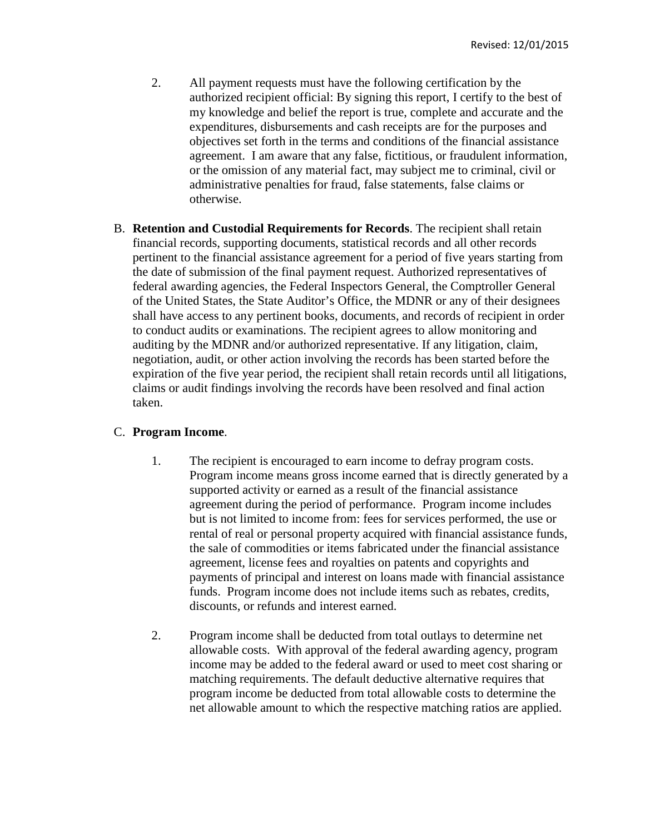- 2. All payment requests must have the following certification by the authorized recipient official: By signing this report, I certify to the best of my knowledge and belief the report is true, complete and accurate and the expenditures, disbursements and cash receipts are for the purposes and objectives set forth in the terms and conditions of the financial assistance agreement. I am aware that any false, fictitious, or fraudulent information, or the omission of any material fact, may subject me to criminal, civil or administrative penalties for fraud, false statements, false claims or otherwise.
- B. **Retention and Custodial Requirements for Records**. The recipient shall retain financial records, supporting documents, statistical records and all other records pertinent to the financial assistance agreement for a period of five years starting from the date of submission of the final payment request. Authorized representatives of federal awarding agencies, the Federal Inspectors General, the Comptroller General of the United States, the State Auditor's Office, the MDNR or any of their designees shall have access to any pertinent books, documents, and records of recipient in order to conduct audits or examinations. The recipient agrees to allow monitoring and auditing by the MDNR and/or authorized representative. If any litigation, claim, negotiation, audit, or other action involving the records has been started before the expiration of the five year period, the recipient shall retain records until all litigations, claims or audit findings involving the records have been resolved and final action taken.

# C. **Program Income**.

- 1. The recipient is encouraged to earn income to defray program costs. Program income means gross income earned that is directly generated by a supported activity or earned as a result of the financial assistance agreement during the period of performance. Program income includes but is not limited to income from: fees for services performed, the use or rental of real or personal property acquired with financial assistance funds, the sale of commodities or items fabricated under the financial assistance agreement, license fees and royalties on patents and copyrights and payments of principal and interest on loans made with financial assistance funds. Program income does not include items such as rebates, credits, discounts, or refunds and interest earned.
- 2. Program income shall be deducted from total outlays to determine net allowable costs. With approval of the federal awarding agency, program income may be added to the federal award or used to meet cost sharing or matching requirements. The default deductive alternative requires that program income be deducted from total allowable costs to determine the net allowable amount to which the respective matching ratios are applied.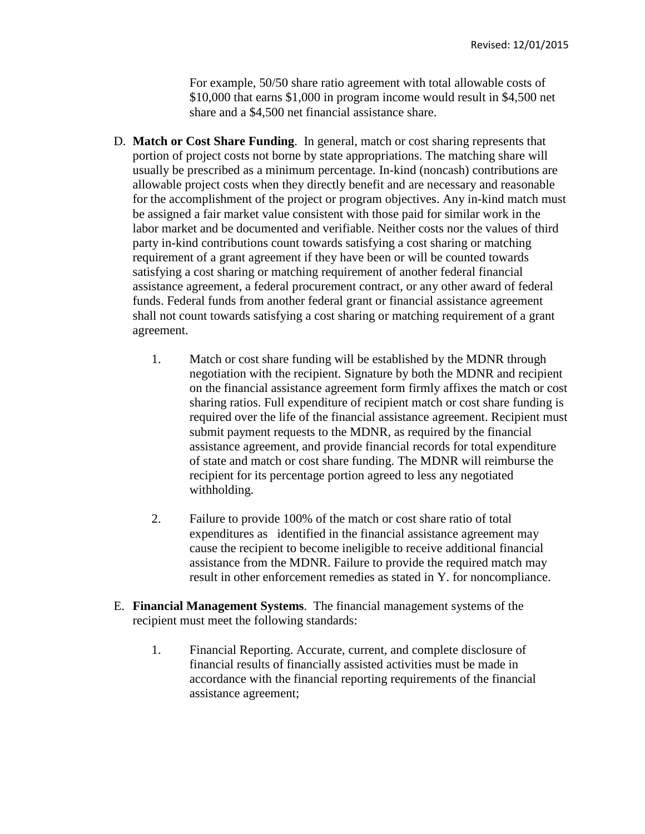For example, 50/50 share ratio agreement with total allowable costs of \$10,000 that earns \$1,000 in program income would result in \$4,500 net share and a \$4,500 net financial assistance share.

- D. **Match or Cost Share Funding**. In general, match or cost sharing represents that portion of project costs not borne by state appropriations. The matching share will usually be prescribed as a minimum percentage. In-kind (noncash) contributions are allowable project costs when they directly benefit and are necessary and reasonable for the accomplishment of the project or program objectives. Any in-kind match must be assigned a fair market value consistent with those paid for similar work in the labor market and be documented and verifiable. Neither costs nor the values of third party in-kind contributions count towards satisfying a cost sharing or matching requirement of a grant agreement if they have been or will be counted towards satisfying a cost sharing or matching requirement of another federal financial assistance agreement, a federal procurement contract, or any other award of federal funds. Federal funds from another federal grant or financial assistance agreement shall not count towards satisfying a cost sharing or matching requirement of a grant agreement.
	- 1. Match or cost share funding will be established by the MDNR through negotiation with the recipient. Signature by both the MDNR and recipient on the financial assistance agreement form firmly affixes the match or cost sharing ratios. Full expenditure of recipient match or cost share funding is required over the life of the financial assistance agreement. Recipient must submit payment requests to the MDNR, as required by the financial assistance agreement, and provide financial records for total expenditure of state and match or cost share funding. The MDNR will reimburse the recipient for its percentage portion agreed to less any negotiated withholding.
	- 2. Failure to provide 100% of the match or cost share ratio of total expenditures as identified in the financial assistance agreement may cause the recipient to become ineligible to receive additional financial assistance from the MDNR. Failure to provide the required match may result in other enforcement remedies as stated in Y. for noncompliance.
- E. **Financial Management Systems**. The financial management systems of the recipient must meet the following standards:
	- 1. Financial Reporting. Accurate, current, and complete disclosure of financial results of financially assisted activities must be made in accordance with the financial reporting requirements of the financial assistance agreement;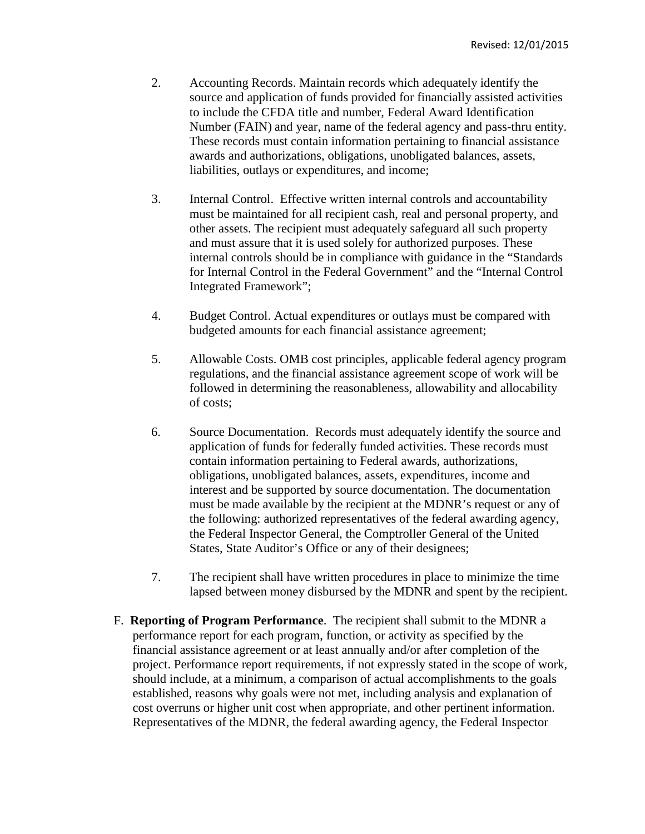- 2. Accounting Records. Maintain records which adequately identify the source and application of funds provided for financially assisted activities to include the CFDA title and number, Federal Award Identification Number (FAIN) and year, name of the federal agency and pass-thru entity. These records must contain information pertaining to financial assistance awards and authorizations, obligations, unobligated balances, assets, liabilities, outlays or expenditures, and income;
- 3. Internal Control. Effective written internal controls and accountability must be maintained for all recipient cash, real and personal property, and other assets. The recipient must adequately safeguard all such property and must assure that it is used solely for authorized purposes. These internal controls should be in compliance with guidance in the "Standards for Internal Control in the Federal Government" and the "Internal Control Integrated Framework";
- 4. Budget Control. Actual expenditures or outlays must be compared with budgeted amounts for each financial assistance agreement;
- 5. Allowable Costs. OMB cost principles, applicable federal agency program regulations, and the financial assistance agreement scope of work will be followed in determining the reasonableness, allowability and allocability of costs;
- 6. Source Documentation. Records must adequately identify the source and application of funds for federally funded activities. These records must contain information pertaining to Federal awards, authorizations, obligations, unobligated balances, assets, expenditures, income and interest and be supported by source documentation. The documentation must be made available by the recipient at the MDNR's request or any of the following: authorized representatives of the federal awarding agency, the Federal Inspector General, the Comptroller General of the United States, State Auditor's Office or any of their designees;
- 7. The recipient shall have written procedures in place to minimize the time lapsed between money disbursed by the MDNR and spent by the recipient.
- F. **Reporting of Program Performance**. The recipient shall submit to the MDNR a performance report for each program, function, or activity as specified by the financial assistance agreement or at least annually and/or after completion of the project. Performance report requirements, if not expressly stated in the scope of work, should include, at a minimum, a comparison of actual accomplishments to the goals established, reasons why goals were not met, including analysis and explanation of cost overruns or higher unit cost when appropriate, and other pertinent information. Representatives of the MDNR, the federal awarding agency, the Federal Inspector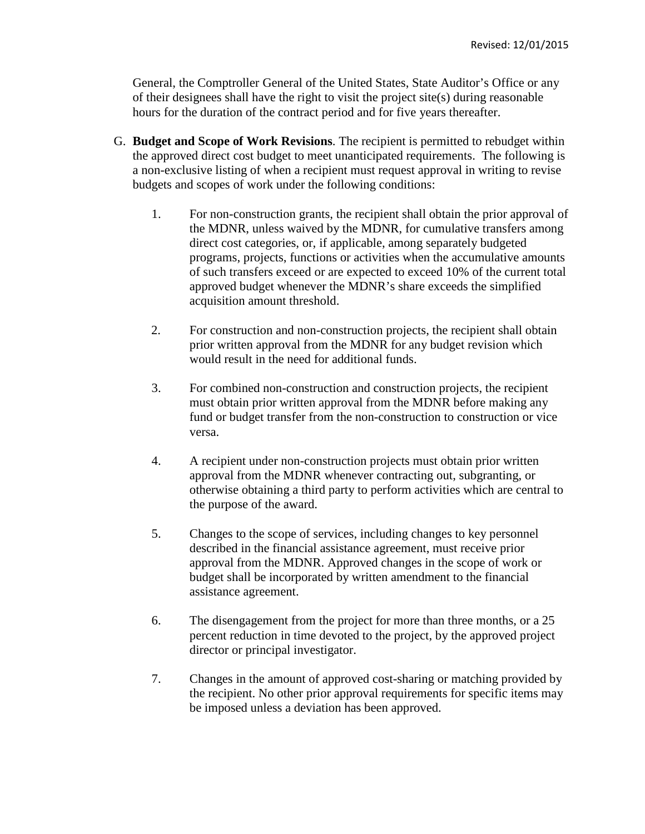General, the Comptroller General of the United States, State Auditor's Office or any of their designees shall have the right to visit the project site(s) during reasonable hours for the duration of the contract period and for five years thereafter.

- G. **Budget and Scope of Work Revisions**. The recipient is permitted to rebudget within the approved direct cost budget to meet unanticipated requirements. The following is a non-exclusive listing of when a recipient must request approval in writing to revise budgets and scopes of work under the following conditions:
	- 1. For non-construction grants, the recipient shall obtain the prior approval of the MDNR, unless waived by the MDNR, for cumulative transfers among direct cost categories, or, if applicable, among separately budgeted programs, projects, functions or activities when the accumulative amounts of such transfers exceed or are expected to exceed 10% of the current total approved budget whenever the MDNR's share exceeds the simplified acquisition amount threshold.
	- 2. For construction and non-construction projects, the recipient shall obtain prior written approval from the MDNR for any budget revision which would result in the need for additional funds.
	- 3. For combined non-construction and construction projects, the recipient must obtain prior written approval from the MDNR before making any fund or budget transfer from the non-construction to construction or vice versa.
	- 4. A recipient under non-construction projects must obtain prior written approval from the MDNR whenever contracting out, subgranting, or otherwise obtaining a third party to perform activities which are central to the purpose of the award.
	- 5. Changes to the scope of services, including changes to key personnel described in the financial assistance agreement, must receive prior approval from the MDNR. Approved changes in the scope of work or budget shall be incorporated by written amendment to the financial assistance agreement.
	- 6. The disengagement from the project for more than three months, or a 25 percent reduction in time devoted to the project, by the approved project director or principal investigator.
	- 7. Changes in the amount of approved cost-sharing or matching provided by the recipient. No other prior approval requirements for specific items may be imposed unless a deviation has been approved.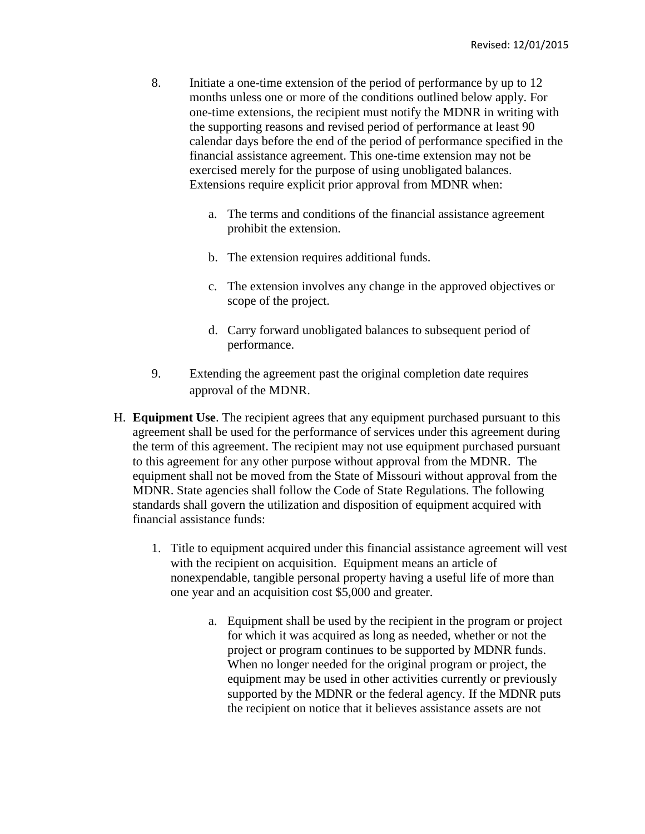- 8. Initiate a one-time extension of the period of performance by up to 12 months unless one or more of the conditions outlined below apply. For one-time extensions, the recipient must notify the MDNR in writing with the supporting reasons and revised period of performance at least 90 calendar days before the end of the period of performance specified in the financial assistance agreement. This one-time extension may not be exercised merely for the purpose of using unobligated balances. Extensions require explicit prior approval from MDNR when:
	- a. The terms and conditions of the financial assistance agreement prohibit the extension.
	- b. The extension requires additional funds.
	- c. The extension involves any change in the approved objectives or scope of the project.
	- d. Carry forward unobligated balances to subsequent period of performance.
- 9. Extending the agreement past the original completion date requires approval of the MDNR.
- H. **Equipment Use**. The recipient agrees that any equipment purchased pursuant to this agreement shall be used for the performance of services under this agreement during the term of this agreement. The recipient may not use equipment purchased pursuant to this agreement for any other purpose without approval from the MDNR. The equipment shall not be moved from the State of Missouri without approval from the MDNR. State agencies shall follow the Code of State Regulations. The following standards shall govern the utilization and disposition of equipment acquired with financial assistance funds:
	- 1. Title to equipment acquired under this financial assistance agreement will vest with the recipient on acquisition. Equipment means an article of nonexpendable, tangible personal property having a useful life of more than one year and an acquisition cost \$5,000 and greater.
		- a. Equipment shall be used by the recipient in the program or project for which it was acquired as long as needed, whether or not the project or program continues to be supported by MDNR funds. When no longer needed for the original program or project, the equipment may be used in other activities currently or previously supported by the MDNR or the federal agency. If the MDNR puts the recipient on notice that it believes assistance assets are not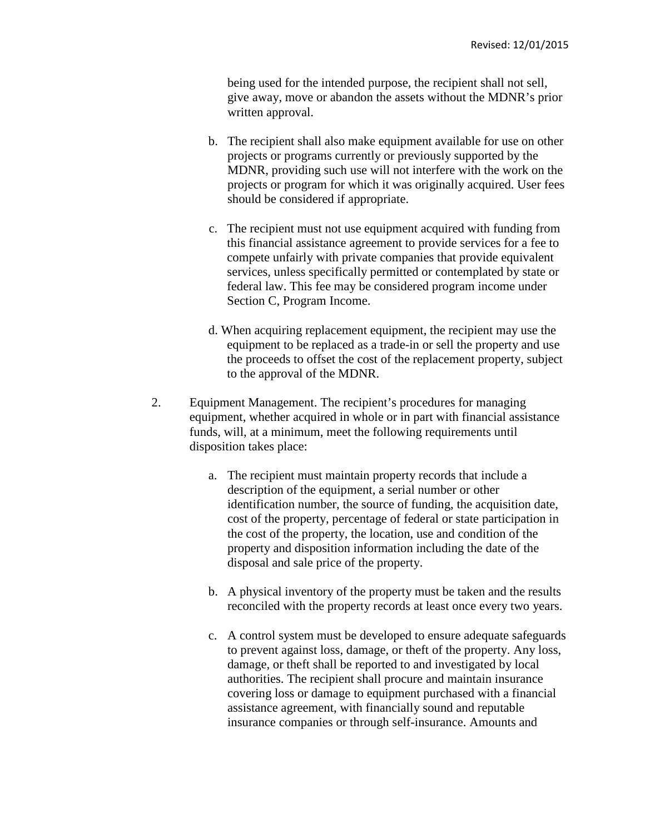being used for the intended purpose, the recipient shall not sell, give away, move or abandon the assets without the MDNR's prior written approval.

- b. The recipient shall also make equipment available for use on other projects or programs currently or previously supported by the MDNR, providing such use will not interfere with the work on the projects or program for which it was originally acquired. User fees should be considered if appropriate.
- c. The recipient must not use equipment acquired with funding from this financial assistance agreement to provide services for a fee to compete unfairly with private companies that provide equivalent services, unless specifically permitted or contemplated by state or federal law. This fee may be considered program income under Section C, Program Income.
- d. When acquiring replacement equipment, the recipient may use the equipment to be replaced as a trade-in or sell the property and use the proceeds to offset the cost of the replacement property, subject to the approval of the MDNR.
- 2. Equipment Management. The recipient's procedures for managing equipment, whether acquired in whole or in part with financial assistance funds, will, at a minimum, meet the following requirements until disposition takes place:
	- a. The recipient must maintain property records that include a description of the equipment, a serial number or other identification number, the source of funding, the acquisition date, cost of the property, percentage of federal or state participation in the cost of the property, the location, use and condition of the property and disposition information including the date of the disposal and sale price of the property.
	- b. A physical inventory of the property must be taken and the results reconciled with the property records at least once every two years.
	- c. A control system must be developed to ensure adequate safeguards to prevent against loss, damage, or theft of the property. Any loss, damage, or theft shall be reported to and investigated by local authorities. The recipient shall procure and maintain insurance covering loss or damage to equipment purchased with a financial assistance agreement, with financially sound and reputable insurance companies or through self-insurance. Amounts and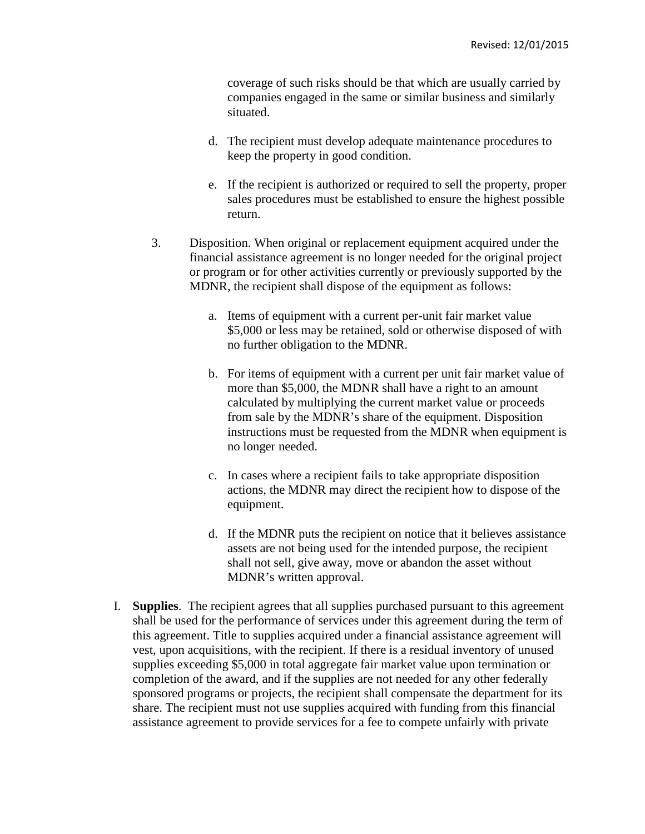coverage of such risks should be that which are usually carried by companies engaged in the same or similar business and similarly situated.

- d. The recipient must develop adequate maintenance procedures to keep the property in good condition.
- e. If the recipient is authorized or required to sell the property, proper sales procedures must be established to ensure the highest possible return.
- 3. Disposition. When original or replacement equipment acquired under the financial assistance agreement is no longer needed for the original project or program or for other activities currently or previously supported by the MDNR, the recipient shall dispose of the equipment as follows:
	- a. Items of equipment with a current per-unit fair market value \$5,000 or less may be retained, sold or otherwise disposed of with no further obligation to the MDNR.
	- b. For items of equipment with a current per unit fair market value of more than \$5,000, the MDNR shall have a right to an amount calculated by multiplying the current market value or proceeds from sale by the MDNR's share of the equipment. Disposition instructions must be requested from the MDNR when equipment is no longer needed.
	- c. In cases where a recipient fails to take appropriate disposition actions, the MDNR may direct the recipient how to dispose of the equipment.
	- d. If the MDNR puts the recipient on notice that it believes assistance assets are not being used for the intended purpose, the recipient shall not sell, give away, move or abandon the asset without MDNR's written approval.
- I. **Supplies**. The recipient agrees that all supplies purchased pursuant to this agreement shall be used for the performance of services under this agreement during the term of this agreement. Title to supplies acquired under a financial assistance agreement will vest, upon acquisitions, with the recipient. If there is a residual inventory of unused supplies exceeding \$5,000 in total aggregate fair market value upon termination or completion of the award, and if the supplies are not needed for any other federally sponsored programs or projects, the recipient shall compensate the department for its share. The recipient must not use supplies acquired with funding from this financial assistance agreement to provide services for a fee to compete unfairly with private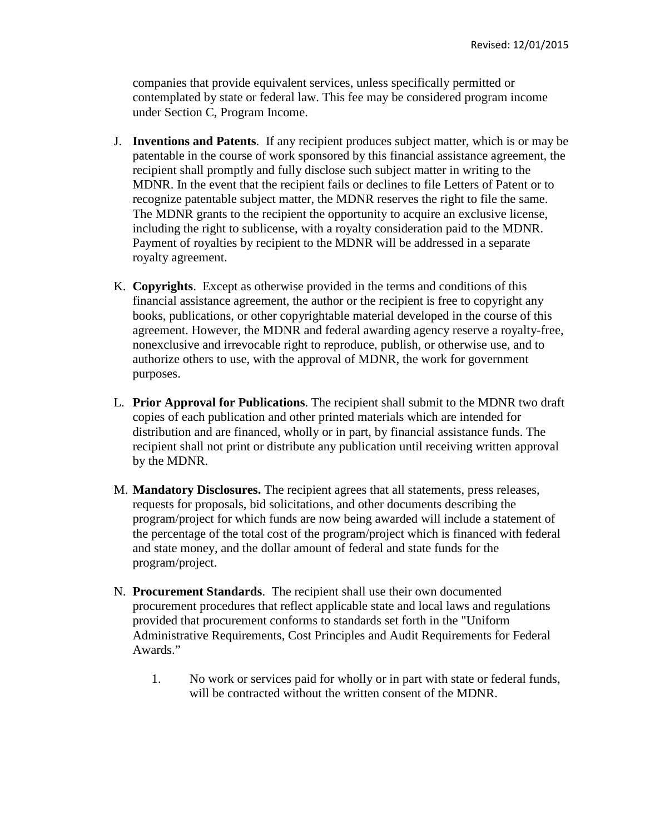companies that provide equivalent services, unless specifically permitted or contemplated by state or federal law. This fee may be considered program income under Section C, Program Income.

- J. **Inventions and Patents**. If any recipient produces subject matter, which is or may be patentable in the course of work sponsored by this financial assistance agreement, the recipient shall promptly and fully disclose such subject matter in writing to the MDNR. In the event that the recipient fails or declines to file Letters of Patent or to recognize patentable subject matter, the MDNR reserves the right to file the same. The MDNR grants to the recipient the opportunity to acquire an exclusive license, including the right to sublicense, with a royalty consideration paid to the MDNR. Payment of royalties by recipient to the MDNR will be addressed in a separate royalty agreement.
- K. **Copyrights**. Except as otherwise provided in the terms and conditions of this financial assistance agreement, the author or the recipient is free to copyright any books, publications, or other copyrightable material developed in the course of this agreement. However, the MDNR and federal awarding agency reserve a royalty-free, nonexclusive and irrevocable right to reproduce, publish, or otherwise use, and to authorize others to use, with the approval of MDNR, the work for government purposes.
- L. **Prior Approval for Publications**. The recipient shall submit to the MDNR two draft copies of each publication and other printed materials which are intended for distribution and are financed, wholly or in part, by financial assistance funds. The recipient shall not print or distribute any publication until receiving written approval by the MDNR.
- M. **Mandatory Disclosures.** The recipient agrees that all statements, press releases, requests for proposals, bid solicitations, and other documents describing the program/project for which funds are now being awarded will include a statement of the percentage of the total cost of the program/project which is financed with federal and state money, and the dollar amount of federal and state funds for the program/project.
- N. **Procurement Standards**. The recipient shall use their own documented procurement procedures that reflect applicable state and local laws and regulations provided that procurement conforms to standards set forth in the "Uniform Administrative Requirements, Cost Principles and Audit Requirements for Federal Awards."
	- 1. No work or services paid for wholly or in part with state or federal funds, will be contracted without the written consent of the MDNR.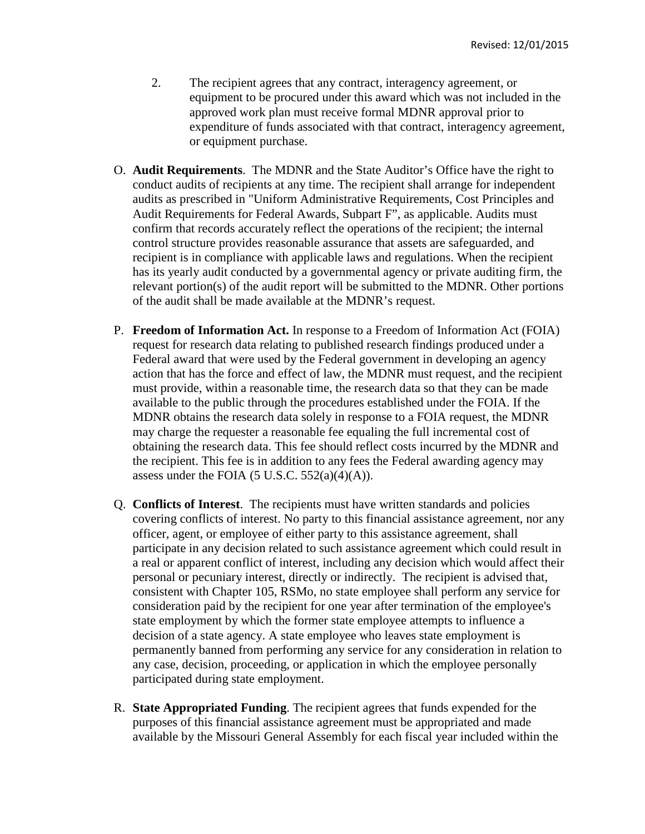- 2. The recipient agrees that any contract, interagency agreement, or equipment to be procured under this award which was not included in the approved work plan must receive formal MDNR approval prior to expenditure of funds associated with that contract, interagency agreement, or equipment purchase.
- O. **Audit Requirements**. The MDNR and the State Auditor's Office have the right to conduct audits of recipients at any time. The recipient shall arrange for independent audits as prescribed in "Uniform Administrative Requirements, Cost Principles and Audit Requirements for Federal Awards, Subpart F", as applicable. Audits must confirm that records accurately reflect the operations of the recipient; the internal control structure provides reasonable assurance that assets are safeguarded, and recipient is in compliance with applicable laws and regulations. When the recipient has its yearly audit conducted by a governmental agency or private auditing firm, the relevant portion(s) of the audit report will be submitted to the MDNR. Other portions of the audit shall be made available at the MDNR's request.
- P. **Freedom of Information Act.** In response to a Freedom of Information Act (FOIA) request for research data relating to published research findings produced under a Federal award that were used by the Federal government in developing an agency action that has the force and effect of law, the MDNR must request, and the recipient must provide, within a reasonable time, the research data so that they can be made available to the public through the procedures established under the FOIA. If the MDNR obtains the research data solely in response to a FOIA request, the MDNR may charge the requester a reasonable fee equaling the full incremental cost of obtaining the research data. This fee should reflect costs incurred by the MDNR and the recipient. This fee is in addition to any fees the Federal awarding agency may assess under the FOIA  $(5 \text{ U.S.C. } 552(a)(4)(A)).$
- Q. **Conflicts of Interest**. The recipients must have written standards and policies covering conflicts of interest. No party to this financial assistance agreement, nor any officer, agent, or employee of either party to this assistance agreement, shall participate in any decision related to such assistance agreement which could result in a real or apparent conflict of interest, including any decision which would affect their personal or pecuniary interest, directly or indirectly. The recipient is advised that, consistent with Chapter 105, RSMo, no state employee shall perform any service for consideration paid by the recipient for one year after termination of the employee's state employment by which the former state employee attempts to influence a decision of a state agency. A state employee who leaves state employment is permanently banned from performing any service for any consideration in relation to any case, decision, proceeding, or application in which the employee personally participated during state employment.
- R. **State Appropriated Funding**. The recipient agrees that funds expended for the purposes of this financial assistance agreement must be appropriated and made available by the Missouri General Assembly for each fiscal year included within the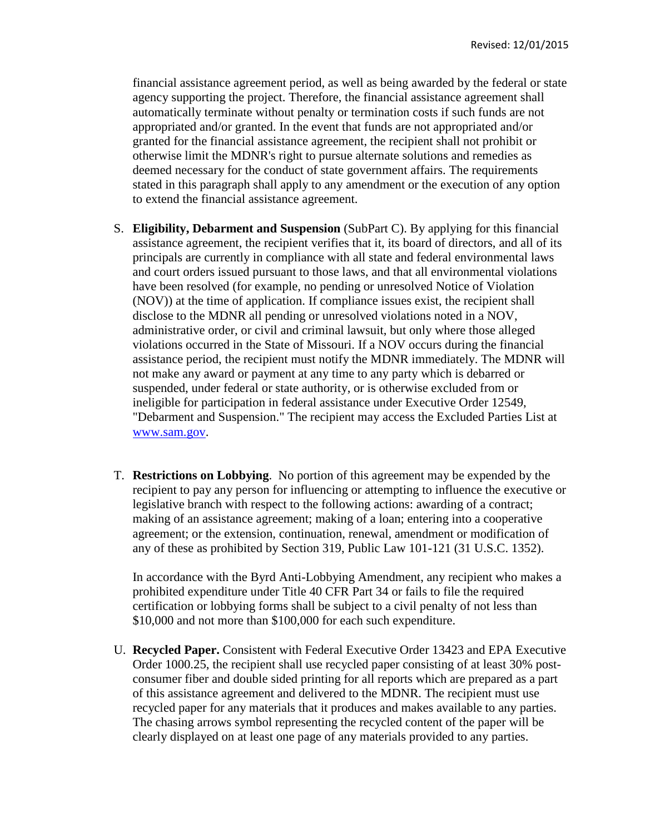financial assistance agreement period, as well as being awarded by the federal or state agency supporting the project. Therefore, the financial assistance agreement shall automatically terminate without penalty or termination costs if such funds are not appropriated and/or granted. In the event that funds are not appropriated and/or granted for the financial assistance agreement, the recipient shall not prohibit or otherwise limit the MDNR's right to pursue alternate solutions and remedies as deemed necessary for the conduct of state government affairs. The requirements stated in this paragraph shall apply to any amendment or the execution of any option to extend the financial assistance agreement.

- S. **Eligibility, Debarment and Suspension** (SubPart C). By applying for this financial assistance agreement, the recipient verifies that it, its board of directors, and all of its principals are currently in compliance with all state and federal environmental laws and court orders issued pursuant to those laws, and that all environmental violations have been resolved (for example, no pending or unresolved Notice of Violation (NOV)) at the time of application. If compliance issues exist, the recipient shall disclose to the MDNR all pending or unresolved violations noted in a NOV, administrative order, or civil and criminal lawsuit, but only where those alleged violations occurred in the State of Missouri. If a NOV occurs during the financial assistance period, the recipient must notify the MDNR immediately. The MDNR will not make any award or payment at any time to any party which is debarred or suspended, under federal or state authority, or is otherwise excluded from or ineligible for participation in federal assistance under Executive Order 12549, "Debarment and Suspension." The recipient may access the Excluded Parties List at www.sam.gov.
- T. **Restrictions on Lobbying**. No portion of this agreement may be expended by the recipient to pay any person for influencing or attempting to influence the executive or legislative branch with respect to the following actions: awarding of a contract; making of an assistance agreement; making of a loan; entering into a cooperative agreement; or the extension, continuation, renewal, amendment or modification of any of these as prohibited by Section 319, Public Law 101-121 (31 U.S.C. 1352).

In accordance with the Byrd Anti-Lobbying Amendment, any recipient who makes a prohibited expenditure under Title 40 CFR Part 34 or fails to file the required certification or lobbying forms shall be subject to a civil penalty of not less than \$10,000 and not more than \$100,000 for each such expenditure.

U. **Recycled Paper.** Consistent with Federal Executive Order 13423 and EPA Executive Order 1000.25, the recipient shall use recycled paper consisting of at least 30% postconsumer fiber and double sided printing for all reports which are prepared as a part of this assistance agreement and delivered to the MDNR. The recipient must use recycled paper for any materials that it produces and makes available to any parties. The chasing arrows symbol representing the recycled content of the paper will be clearly displayed on at least one page of any materials provided to any parties.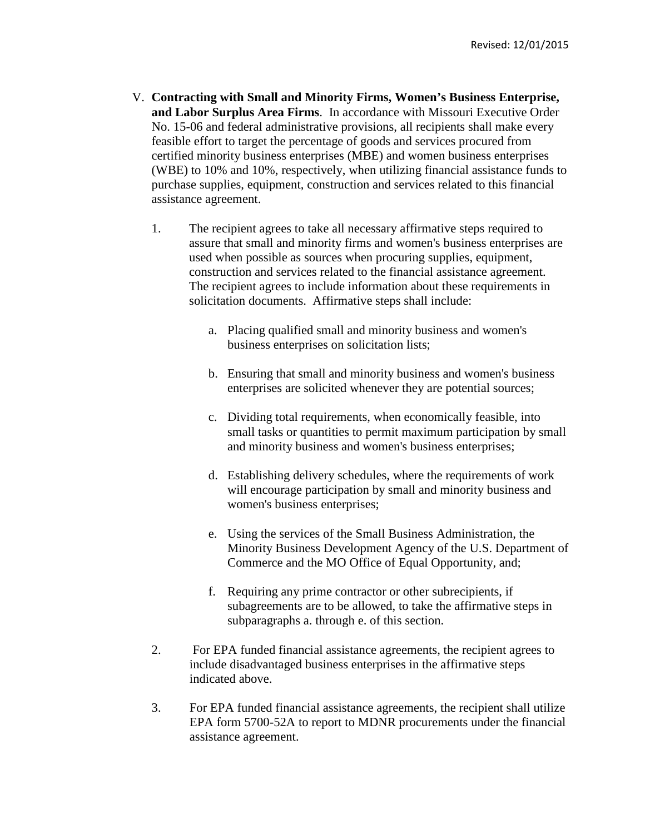- V. **Contracting with Small and Minority Firms, Women's Business Enterprise, and Labor Surplus Area Firms**. In accordance with Missouri Executive Order No. 15-06 and federal administrative provisions, all recipients shall make every feasible effort to target the percentage of goods and services procured from certified minority business enterprises (MBE) and women business enterprises (WBE) to 10% and 10%, respectively, when utilizing financial assistance funds to purchase supplies, equipment, construction and services related to this financial assistance agreement.
	- 1. The recipient agrees to take all necessary affirmative steps required to assure that small and minority firms and women's business enterprises are used when possible as sources when procuring supplies, equipment, construction and services related to the financial assistance agreement. The recipient agrees to include information about these requirements in solicitation documents. Affirmative steps shall include:
		- a. Placing qualified small and minority business and women's business enterprises on solicitation lists;
		- b. Ensuring that small and minority business and women's business enterprises are solicited whenever they are potential sources;
		- c. Dividing total requirements, when economically feasible, into small tasks or quantities to permit maximum participation by small and minority business and women's business enterprises;
		- d. Establishing delivery schedules, where the requirements of work will encourage participation by small and minority business and women's business enterprises;
		- e. Using the services of the Small Business Administration, the Minority Business Development Agency of the U.S. Department of Commerce and the MO Office of Equal Opportunity, and;
		- f. Requiring any prime contractor or other subrecipients, if subagreements are to be allowed, to take the affirmative steps in subparagraphs a. through e. of this section.
	- 2. For EPA funded financial assistance agreements, the recipient agrees to include disadvantaged business enterprises in the affirmative steps indicated above.
	- 3. For EPA funded financial assistance agreements, the recipient shall utilize EPA form 5700-52A to report to MDNR procurements under the financial assistance agreement.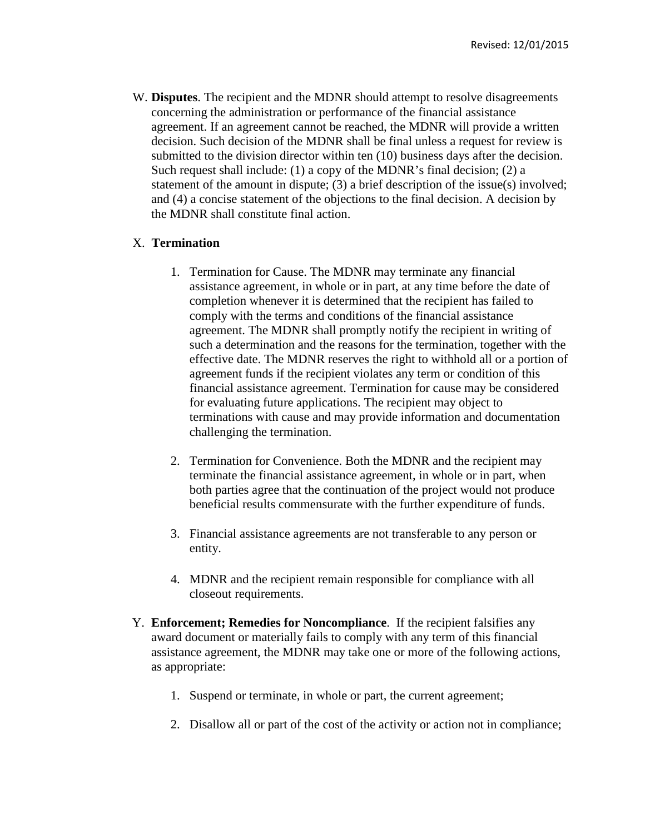W. **Disputes**. The recipient and the MDNR should attempt to resolve disagreements concerning the administration or performance of the financial assistance agreement. If an agreement cannot be reached, the MDNR will provide a written decision. Such decision of the MDNR shall be final unless a request for review is submitted to the division director within ten (10) business days after the decision. Such request shall include: (1) a copy of the MDNR's final decision; (2) a statement of the amount in dispute; (3) a brief description of the issue(s) involved; and (4) a concise statement of the objections to the final decision. A decision by the MDNR shall constitute final action.

## X. **Termination**

- 1. Termination for Cause. The MDNR may terminate any financial assistance agreement, in whole or in part, at any time before the date of completion whenever it is determined that the recipient has failed to comply with the terms and conditions of the financial assistance agreement. The MDNR shall promptly notify the recipient in writing of such a determination and the reasons for the termination, together with the effective date. The MDNR reserves the right to withhold all or a portion of agreement funds if the recipient violates any term or condition of this financial assistance agreement. Termination for cause may be considered for evaluating future applications. The recipient may object to terminations with cause and may provide information and documentation challenging the termination.
- 2. Termination for Convenience. Both the MDNR and the recipient may terminate the financial assistance agreement, in whole or in part, when both parties agree that the continuation of the project would not produce beneficial results commensurate with the further expenditure of funds.
- 3. Financial assistance agreements are not transferable to any person or entity.
- 4. MDNR and the recipient remain responsible for compliance with all closeout requirements.
- Y. **Enforcement; Remedies for Noncompliance**. If the recipient falsifies any award document or materially fails to comply with any term of this financial assistance agreement, the MDNR may take one or more of the following actions, as appropriate:
	- 1. Suspend or terminate, in whole or part, the current agreement;
	- 2. Disallow all or part of the cost of the activity or action not in compliance;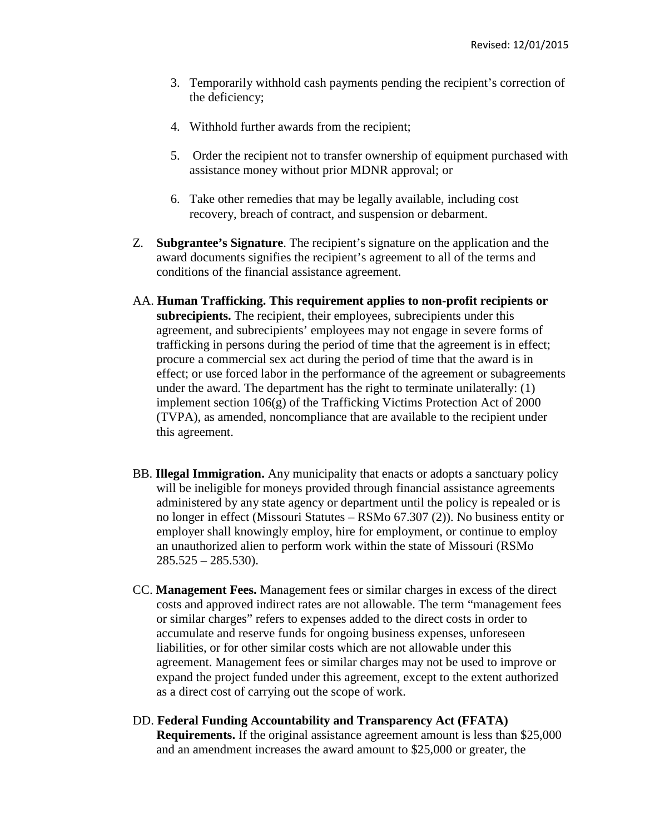- 3. Temporarily withhold cash payments pending the recipient's correction of the deficiency;
- 4. Withhold further awards from the recipient;
- 5. Order the recipient not to transfer ownership of equipment purchased with assistance money without prior MDNR approval; or
- 6. Take other remedies that may be legally available, including cost recovery, breach of contract, and suspension or debarment.
- Z. **Subgrantee's Signature**. The recipient's signature on the application and the award documents signifies the recipient's agreement to all of the terms and conditions of the financial assistance agreement.
- AA. **Human Trafficking. This requirement applies to non-profit recipients or subrecipients.** The recipient, their employees, subrecipients under this agreement, and subrecipients' employees may not engage in severe forms of trafficking in persons during the period of time that the agreement is in effect; procure a commercial sex act during the period of time that the award is in effect; or use forced labor in the performance of the agreement or subagreements under the award. The department has the right to terminate unilaterally: (1) implement section 106(g) of the Trafficking Victims Protection Act of 2000 (TVPA), as amended, noncompliance that are available to the recipient under this agreement.
- BB. **Illegal Immigration.** Any municipality that enacts or adopts a sanctuary policy will be ineligible for moneys provided through financial assistance agreements administered by any state agency or department until the policy is repealed or is no longer in effect (Missouri Statutes – RSMo 67.307 (2)). No business entity or employer shall knowingly employ, hire for employment, or continue to employ an unauthorized alien to perform work within the state of Missouri (RSMo  $285.525 - 285.530$ .
- CC. **Management Fees.** Management fees or similar charges in excess of the direct costs and approved indirect rates are not allowable. The term "management fees or similar charges" refers to expenses added to the direct costs in order to accumulate and reserve funds for ongoing business expenses, unforeseen liabilities, or for other similar costs which are not allowable under this agreement. Management fees or similar charges may not be used to improve or expand the project funded under this agreement, except to the extent authorized as a direct cost of carrying out the scope of work.
- DD. **Federal Funding Accountability and Transparency Act (FFATA) Requirements.** If the original assistance agreement amount is less than \$25,000 and an amendment increases the award amount to \$25,000 or greater, the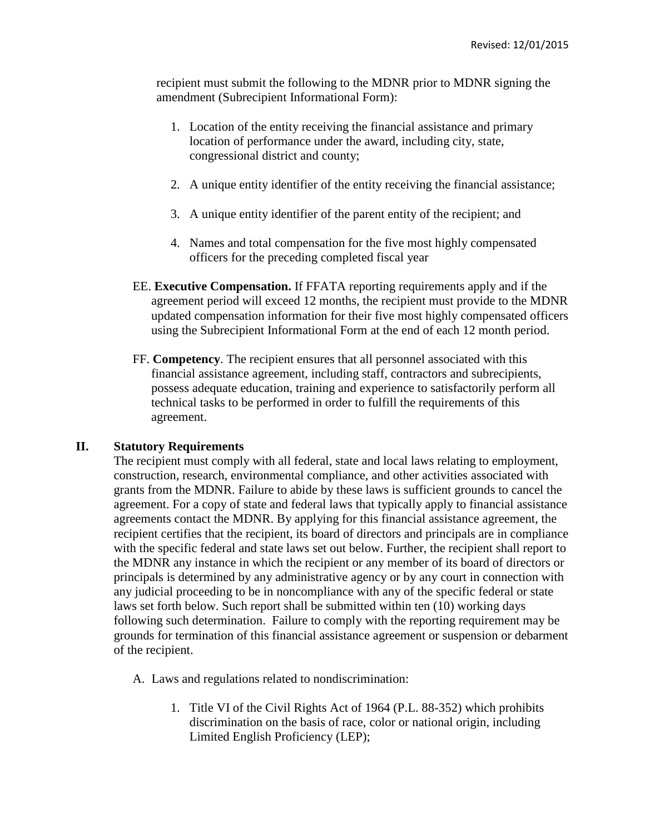recipient must submit the following to the MDNR prior to MDNR signing the amendment (Subrecipient Informational Form):

- 1. Location of the entity receiving the financial assistance and primary location of performance under the award, including city, state, congressional district and county;
- 2. A unique entity identifier of the entity receiving the financial assistance;
- 3. A unique entity identifier of the parent entity of the recipient; and
- 4. Names and total compensation for the five most highly compensated officers for the preceding completed fiscal year
- EE. **Executive Compensation.** If FFATA reporting requirements apply and if the agreement period will exceed 12 months, the recipient must provide to the MDNR updated compensation information for their five most highly compensated officers using the Subrecipient Informational Form at the end of each 12 month period.
- FF. **Competency**. The recipient ensures that all personnel associated with this financial assistance agreement, including staff, contractors and subrecipients, possess adequate education, training and experience to satisfactorily perform all technical tasks to be performed in order to fulfill the requirements of this agreement.

#### **II. Statutory Requirements**

The recipient must comply with all federal, state and local laws relating to employment, construction, research, environmental compliance, and other activities associated with grants from the MDNR. Failure to abide by these laws is sufficient grounds to cancel the agreement. For a copy of state and federal laws that typically apply to financial assistance agreements contact the MDNR. By applying for this financial assistance agreement, the recipient certifies that the recipient, its board of directors and principals are in compliance with the specific federal and state laws set out below. Further, the recipient shall report to the MDNR any instance in which the recipient or any member of its board of directors or principals is determined by any administrative agency or by any court in connection with any judicial proceeding to be in noncompliance with any of the specific federal or state laws set forth below. Such report shall be submitted within ten (10) working days following such determination. Failure to comply with the reporting requirement may be grounds for termination of this financial assistance agreement or suspension or debarment of the recipient.

- A. Laws and regulations related to nondiscrimination:
	- 1. Title VI of the Civil Rights Act of 1964 (P.L. 88-352) which prohibits discrimination on the basis of race, color or national origin, including Limited English Proficiency (LEP);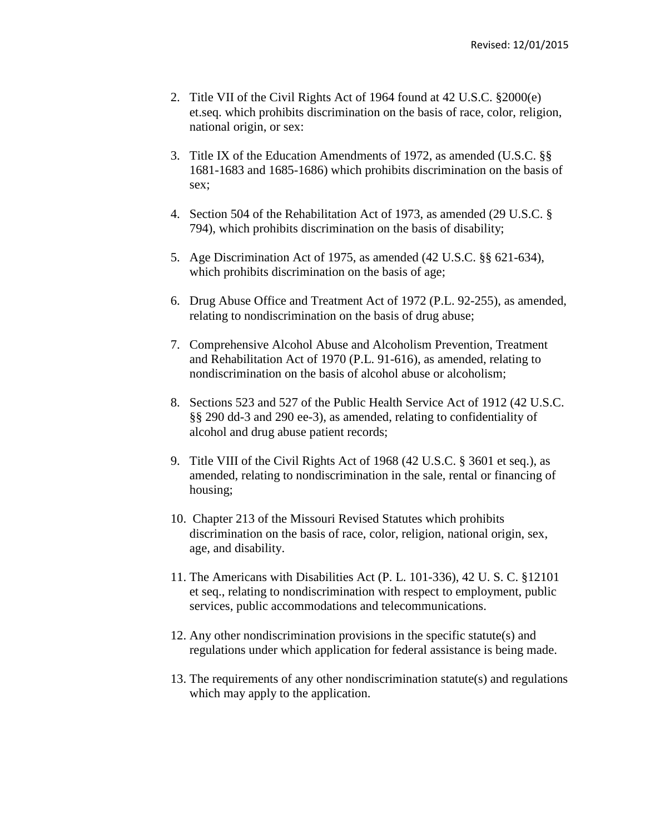- 2. Title VII of the Civil Rights Act of 1964 found at 42 U.S.C. §2000(e) et.seq. which prohibits discrimination on the basis of race, color, religion, national origin, or sex:
- 3. Title IX of the Education Amendments of 1972, as amended (U.S.C. §§ 1681-1683 and 1685-1686) which prohibits discrimination on the basis of sex;
- 4. Section 504 of the Rehabilitation Act of 1973, as amended (29 U.S.C. § 794), which prohibits discrimination on the basis of disability;
- 5. Age Discrimination Act of 1975, as amended (42 U.S.C. §§ 621-634), which prohibits discrimination on the basis of age;
- 6. Drug Abuse Office and Treatment Act of 1972 (P.L. 92-255), as amended, relating to nondiscrimination on the basis of drug abuse;
- 7. Comprehensive Alcohol Abuse and Alcoholism Prevention, Treatment and Rehabilitation Act of 1970 (P.L. 91-616), as amended, relating to nondiscrimination on the basis of alcohol abuse or alcoholism;
- 8. Sections 523 and 527 of the Public Health Service Act of 1912 (42 U.S.C. §§ 290 dd-3 and 290 ee-3), as amended, relating to confidentiality of alcohol and drug abuse patient records;
- 9. Title VIII of the Civil Rights Act of 1968 (42 U.S.C. § 3601 et seq.), as amended, relating to nondiscrimination in the sale, rental or financing of housing;
- 10. Chapter 213 of the Missouri Revised Statutes which prohibits discrimination on the basis of race, color, religion, national origin, sex, age, and disability.
- 11. The Americans with Disabilities Act (P. L. 101-336), 42 U. S. C. §12101 et seq., relating to nondiscrimination with respect to employment, public services, public accommodations and telecommunications.
- 12. Any other nondiscrimination provisions in the specific statute(s) and regulations under which application for federal assistance is being made.
- 13. The requirements of any other nondiscrimination statute(s) and regulations which may apply to the application.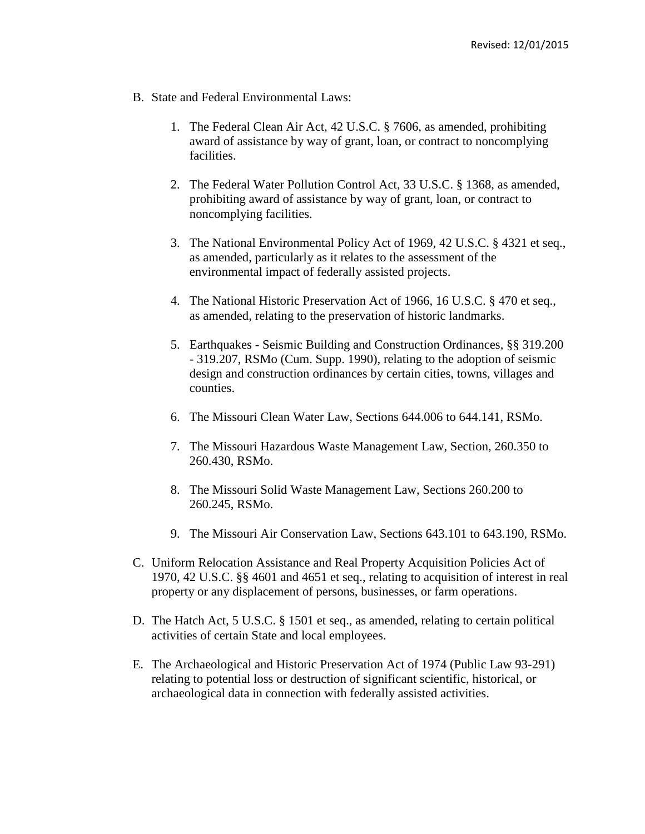- B. State and Federal Environmental Laws:
	- 1. The Federal Clean Air Act, 42 U.S.C. § 7606, as amended, prohibiting award of assistance by way of grant, loan, or contract to noncomplying facilities.
	- 2. The Federal Water Pollution Control Act, 33 U.S.C. § 1368, as amended, prohibiting award of assistance by way of grant, loan, or contract to noncomplying facilities.
	- 3. The National Environmental Policy Act of 1969, 42 U.S.C. § 4321 et seq., as amended, particularly as it relates to the assessment of the environmental impact of federally assisted projects.
	- 4. The National Historic Preservation Act of 1966, 16 U.S.C. § 470 et seq., as amended, relating to the preservation of historic landmarks.
	- 5. Earthquakes Seismic Building and Construction Ordinances, §§ 319.200 - 319.207, RSMo (Cum. Supp. 1990), relating to the adoption of seismic design and construction ordinances by certain cities, towns, villages and counties.
	- 6. The Missouri Clean Water Law, Sections 644.006 to 644.141, RSMo.
	- 7. The Missouri Hazardous Waste Management Law, Section, 260.350 to 260.430, RSMo.
	- 8. The Missouri Solid Waste Management Law, Sections 260.200 to 260.245, RSMo.
	- 9. The Missouri Air Conservation Law, Sections 643.101 to 643.190, RSMo.
- C. Uniform Relocation Assistance and Real Property Acquisition Policies Act of 1970, 42 U.S.C. §§ 4601 and 4651 et seq., relating to acquisition of interest in real property or any displacement of persons, businesses, or farm operations.
- D. The Hatch Act, 5 U.S.C. § 1501 et seq., as amended, relating to certain political activities of certain State and local employees.
- E. The Archaeological and Historic Preservation Act of 1974 (Public Law 93-291) relating to potential loss or destruction of significant scientific, historical, or archaeological data in connection with federally assisted activities.